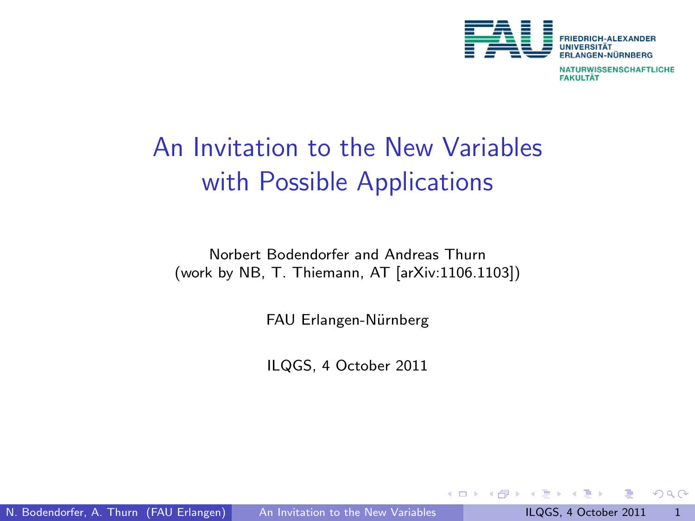

**NATURWISSENSCHAFTLICHE FAKULTÄT** 

# An Invitation to the New Variables with Possible Applications

Norbert Bodendorfer and Andreas Thurn (work by NB, T. Thiemann, AT [arXiv:1106.1103])

FAU Erlangen-Nürnberg

ILQGS, 4 October 2011

<span id="page-0-0"></span> $\leftarrow$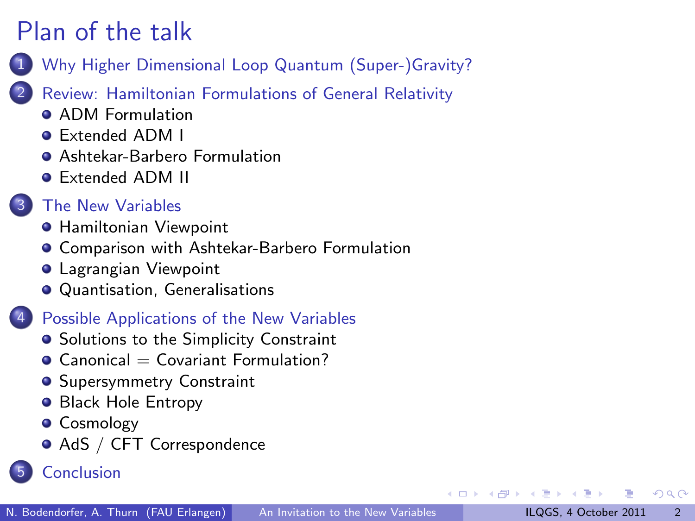- 1 [Why Higher Dimensional Loop Quantum \(Super-\)Gravity?](#page-2-0)
- [Review: Hamiltonian Formulations of General Relativity](#page-4-0)
	- **ADM** Formulation
	- [Extended ADM I](#page-6-0)
	- **[Ashtekar-Barbero Formulation](#page-7-0)**
	- [Extended ADM II](#page-8-0)

### [The New Variables](#page-9-0)

- **[Hamiltonian Viewpoint](#page-10-0)**
- [Comparison with Ashtekar-Barbero Formulation](#page-11-0)
- **[Lagrangian Viewpoint](#page-12-0)**
- [Quantisation, Generalisations](#page-13-0)

### **[Possible Applications of the New Variables](#page-14-0)**

- **•** [Solutions to the Simplicity Constraint](#page-15-0)
- $\bullet$  Canonical  $=$  Covariant Formulation?
- **[Supersymmetry Constraint](#page-17-0)**
- **[Black Hole Entropy](#page-19-0)**
- **•** [Cosmology](#page-20-0)
- <span id="page-1-0"></span>[AdS / CFT Correspondence](#page-21-0)
- **[Conclusion](#page-23-0)**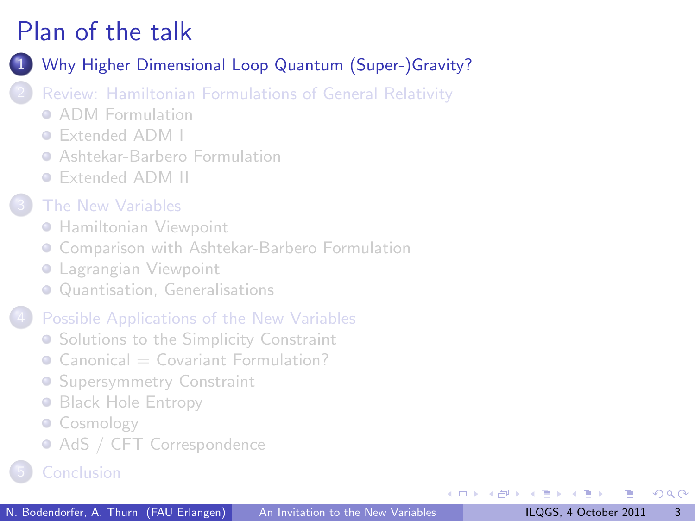[Why Higher Dimensional Loop Quantum \(Super-\)Gravity?](#page-2-0)

- [Review: Hamiltonian Formulations of General Relativity](#page-4-0)
	- **[ADM Formulation](#page-5-0)**
	- [Extended ADM I](#page-6-0)
	- **[Ashtekar-Barbero Formulation](#page-7-0)**
	- [Extended ADM II](#page-8-0)
- [The New Variables](#page-9-0)
	- **[Hamiltonian Viewpoint](#page-10-0)**
	- **[Comparison with Ashtekar-Barbero Formulation](#page-11-0)**
	- **[Lagrangian Viewpoint](#page-12-0)**
	- [Quantisation, Generalisations](#page-13-0)

#### [Possible Applications of the New Variables](#page-14-0)

- **[Solutions to the Simplicity Constraint](#page-15-0)**
- $\bullet$  Canonical  $=\text{Covariant Formula}$
- **[Supersymmetry Constraint](#page-17-0)**
- **[Black Hole Entropy](#page-19-0)**
- [Cosmology](#page-20-0)
- <span id="page-2-0"></span>• [AdS / CFT Correspondence](#page-21-0)
-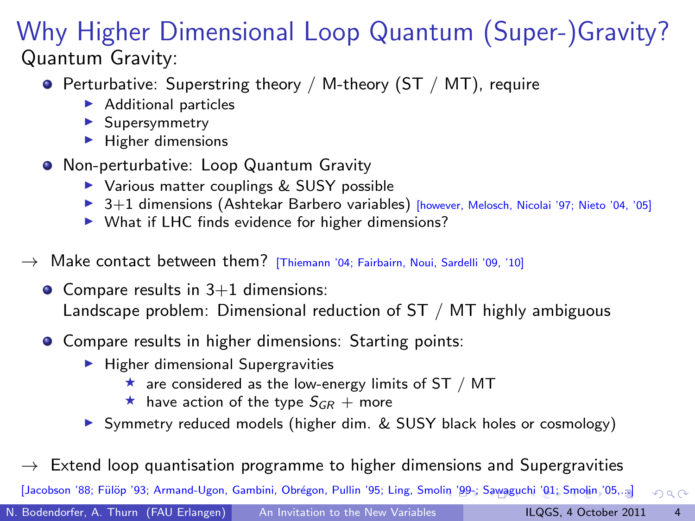### Why Higher Dimensional Loop Quantum (Super-)Gravity? Quantum Gravity:

- Perturbative: Superstring theory / M-theory (ST / MT), require
	- $\blacktriangleright$  Additional particles
	- $\blacktriangleright$  Supersymmetry
	- $\blacktriangleright$  Higher dimensions
- **•** Non-perturbative: Loop Quantum Gravity
	- $\triangleright$  Various matter couplings & SUSY possible
	- $\triangleright$  3+1 dimensions (Ashtekar Barbero variables) [however, Melosch, Nicolai '97; Nieto '04, '05]
	- $\triangleright$  What if LHC finds evidence for higher dimensions?
- $\rightarrow$  Make contact between them? [Thiemann '04; Fairbairn, Noui, Sardelli '09, '10]
	- $\bullet$  Compare results in 3+1 dimensions: Landscape problem: Dimensional reduction of ST / MT highly ambiguous
	- **Compare results in higher dimensions: Starting points:** 
		- $\blacktriangleright$  Higher dimensional Supergravities
			- $\star$  are considered as the low-energy limits of ST / MT
			- $\star$  have action of the type  $S_{GR}$  + more
		- ▶ Symmetry reduced models (higher dim. & SUSY black holes or cosmology)

 $\rightarrow$  Extend loop quantisation programme to higher dimensions and Supergravities

<span id="page-3-0"></span>[Jacobson '88; Fülöp '93; Armand-Ugon, Gambini, Obrégon, Pull[in '](#page-2-0)95; Ling, Smolin '9[9-;](#page-4-0) [Sa](#page-2-0)[wag](#page-3-0)[uc](#page-4-0)[hi](#page-1-0) ['](#page-2-0)[01](#page-3-0)[; S](#page-4-0)[m](#page-1-0)[ol](#page-2-0)[in](#page-3-0) ['0](#page-4-0)[5,..](#page-0-0)[.\]](#page-24-0)  $QQ$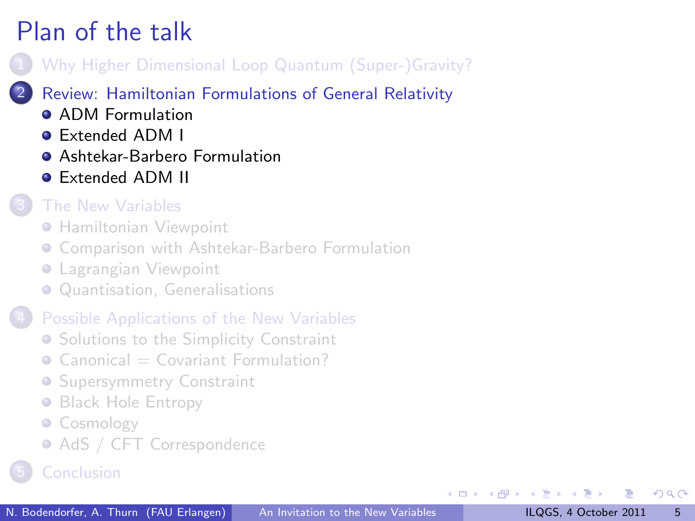- [Why Higher Dimensional Loop Quantum \(Super-\)Gravity?](#page-2-0)
- [Review: Hamiltonian Formulations of General Relativity](#page-4-0)
	- **ADM** Formulation
	- [Extended ADM I](#page-6-0)
	- **[Ashtekar-Barbero Formulation](#page-7-0)**
	- [Extended ADM II](#page-8-0)

### [The New Variables](#page-9-0)

- **[Hamiltonian Viewpoint](#page-10-0)**
- **[Comparison with Ashtekar-Barbero Formulation](#page-11-0)**
- **[Lagrangian Viewpoint](#page-12-0)**
- [Quantisation, Generalisations](#page-13-0)

### [Possible Applications of the New Variables](#page-14-0)

- **[Solutions to the Simplicity Constraint](#page-15-0)**
- $\bullet$  Canonical  $=\text{Covariant Formula}$
- **[Supersymmetry Constraint](#page-17-0)**
- **[Black Hole Entropy](#page-19-0)**
- [Cosmology](#page-20-0)
- <span id="page-4-0"></span>• [AdS / CFT Correspondence](#page-21-0)
-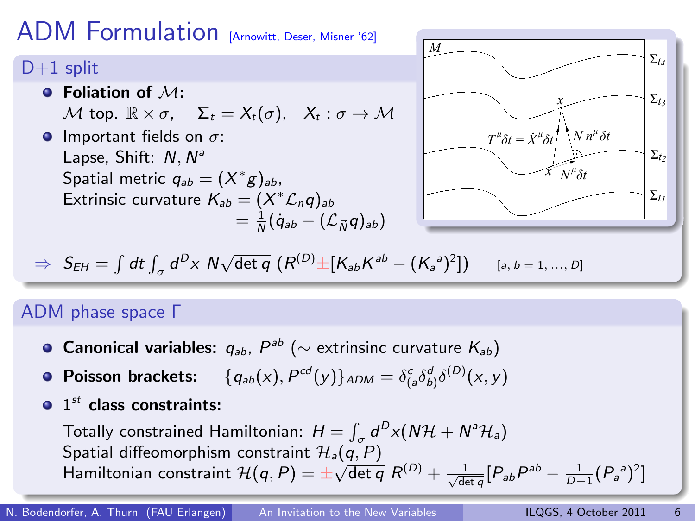### ADM Formulation [Arnowitt, Deser, Misner '62]

### $D+1$  split

- $\bullet$  Foliation of  $M$ : M top.  $\mathbb{R} \times \sigma$ ,  $\Sigma_t = X_t(\sigma)$ ,  $X_t : \sigma \to M$ **Important fields on**  $\sigma$ **:** 
	- Lapse, Shift: N, N<sup>a</sup> Spatial metric  $q_{ab} = (X^*g)_{ab}$ , Extrinsic curvature  $\mathcal{K}_{ab} = (X^* \mathcal{L}_n q)_{ab}$  $=\frac{1}{N}(\dot{q}_{ab}-(\mathcal{L}_{\vec{N}}q)_{ab})$

<span id="page-5-0"></span>

$$
\Rightarrow S_{EH} = \int dt \int_{\sigma} d^D x \, N \sqrt{\det q} \, \left( R^{(D)} \pm [K_{ab} K^{ab} - (K_a^a)^2] \right) \quad [a, b = 1, ..., D]
$$

#### ADM phase space Γ

- Canonical variables:  $q_{ab}$ ,  $P^{ab}$  ( $\sim$  extrinsinc curvature  $\mathcal{K}_{ab})$
- Poisson brackets:  $\{q_{ab}(x), P^{cd}(y)\}_{ADM} = \delta^c_{(a} \delta^d_{b)} \delta^{(D)}(x, y)$
- $1^{st}$  class constraints:

Totally constrained Hamiltonian:  $H = \int_{\sigma} d^{D}x (N\mathcal{H} + N^{a}\mathcal{H}_{a})$ Spatial diffeomorphism constraint  $\mathcal{H}_a(q, P)$ Spatial diffeomorphism constraint  $H_a(q, P) = \pm \sqrt{\det q} R^{(D)} + \frac{1}{\sqrt{\det q}} [P_{ab} P^{ab} - \frac{1}{D-1} (P_a{}^a)^2]$  $H_a(q, P) = \pm \sqrt{\det q} R^{(D)} + \frac{1}{\sqrt{\det q}} [P_{ab} P^{ab} - \frac{1}{D-1} (P_a{}^a)^2]$  $H_a(q, P) = \pm \sqrt{\det q} R^{(D)} + \frac{1}{\sqrt{\det q}} [P_{ab} P^{ab} - \frac{1}{D-1} (P_a{}^a)^2]$  $H_a(q, P) = \pm \sqrt{\det q} R^{(D)} + \frac{1}{\sqrt{\det q}} [P_{ab} P^{ab} - \frac{1}{D-1} (P_a{}^a)^2]$  $H_a(q, P) = \pm \sqrt{\det q} R^{(D)} + \frac{1}{\sqrt{\det q}} [P_{ab} P^{ab} - \frac{1}{D-1} (P_a{}^a)^2]$  $H_a(q, P) = \pm \sqrt{\det q} R^{(D)} + \frac{1}{\sqrt{\det q}} [P_{ab} P^{ab} - \frac{1}{D-1} (P_a{}^a)^2]$  $H_a(q, P) = \pm \sqrt{\det q} R^{(D)} + \frac{1}{\sqrt{\det q}} [P_{ab} P^{ab} - \frac{1}{D-1} (P_a{}^a)^2]$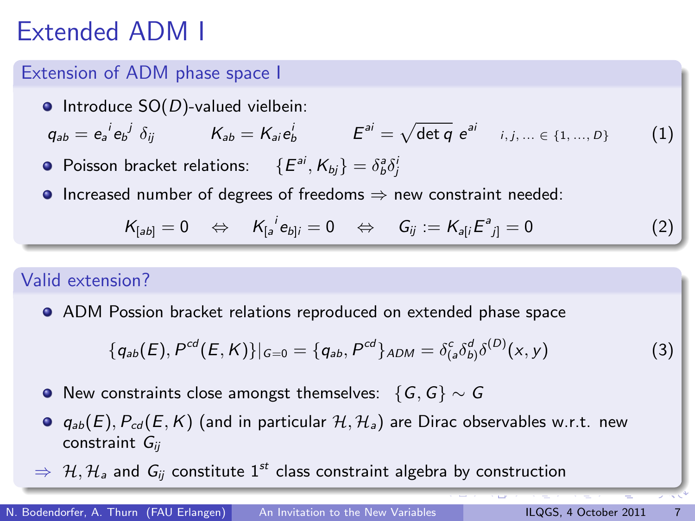# Extended ADM I

#### Extension of ADM phase space I

 $\bullet$  Introduce SO(D)-valued vielbein:

 $q_{ab} = e_a^{\ i} e_b^{\ j} \delta_{ij}$   $K_{ab} = K_{ai} e_b^{\ i}$   $E^{ai} = \sqrt{\det q} e^{ai}$   $i, j, ... \in \{1, ..., D\}$  (1)

- Poisson bracket relations:  $\{E^{ai}, K_{bj}\} = \delta^a_b \delta^b_j$
- **Increased number of degrees of freedoms**  $\Rightarrow$  new constraint needed:

$$
K_{[ab]} = 0 \quad \Leftrightarrow \quad K_{[a}^i e_{b]i} = 0 \quad \Leftrightarrow \quad G_{ij} := K_{a[i} E^a_{j]} = 0 \tag{2}
$$

#### Valid extension?

ADM Possion bracket relations reproduced on extended phase space

<span id="page-6-0"></span>
$$
\{q_{ab}(E), P^{cd}(E,K)\}|_{G=0} = \{q_{ab}, P^{cd}\}_{ADM} = \delta_{(a}^{c}\delta_{b)}^{d}\delta^{(D)}(x,y)
$$
(3)

- O New constraints close amongst themselves:  $\{G, G\} \sim G$
- $\bullet$   $q_{ab}(E)$ ,  $P_{cd}(E, K)$  (and in particular  $H, H_a$ ) are Dirac observables w.r.t. new constraint  $G_{ii}$
- $\Rightarrow$  H, H<sub>a</sub> and G<sub>ii</sub> constitute 1<sup>st</sup> class constraint algebra by construction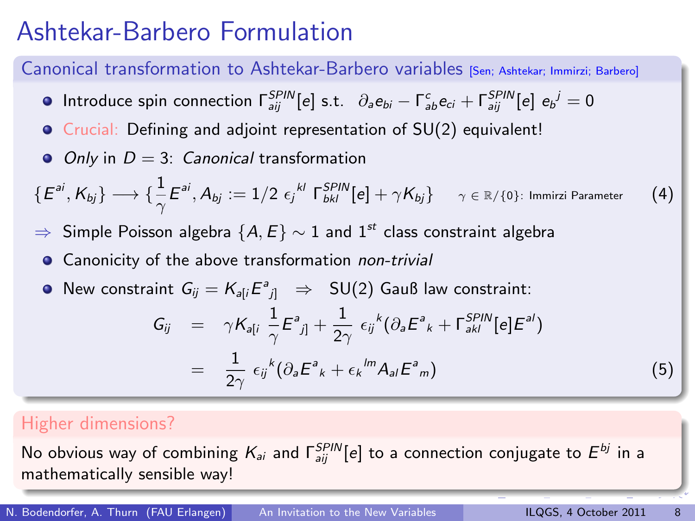### Ashtekar-Barbero Formulation

#### Canonical transformation to Ashtekar-Barbero variables [Sen; Ashtekar; Immirzi; Barbero]

- Introduce spin connection  $\Gamma_{aij}^{SPIN}[e]$  s.t.  $\partial_a e_{bi} \Gamma_{ab}^c e_{ci} + \Gamma_{aij}^{SPIN}[e]$   $e_{b}^{\;j} = 0$
- Crucial: Defining and adjoint representation of SU(2) equivalent!
- $\bullet$  Only in  $D = 3$ : Canonical transformation

 $\{E^{ai}, K_{bj}\} \longrightarrow \{\frac{1}{\gamma} E^{ai}, A_{bj}:=1/2 \ \epsilon_{j}^{\ k l} \ \Gamma^{SPIN}_{bkl}[e]+\gamma K_{bj}\} \hspace{0.5cm} \gamma \in \mathbb{R}/\{0\}$ : Immirzi Parameter (4)

- ⇒ Simple Poisson algebra  $\{A, E\} \sim 1$  and  $1^{st}$  class constraint algebra
	- **•** Canonicity of the above transformation non-trivial
	- New constraint  $G_{ij} = K_{a[i} E^a{}_{j]} \Rightarrow SU(2)$  Gauß law constraint:

<span id="page-7-0"></span>
$$
G_{ij} = \gamma K_{a[i} \frac{1}{\gamma} E^a{}_{j]} + \frac{1}{2\gamma} \epsilon_{ij}{}^k (\partial_a E^a{}_{k} + \Gamma^{SPIN}_{ak}[e] E^{a'})
$$
  

$$
= \frac{1}{2\gamma} \epsilon_{ij}{}^k (\partial_a E^a{}_{k} + \epsilon_{k}{}^{lm} A_{al} E^a{}_{m})
$$
 (5)

#### Higher dimensions?

No obvious way of combining  $\mathcal{K}_{ai}$  and  $\mathsf{\Gamma}^{SPIN}_{aij}[e]$  to a connection conjugate to  $E^{bj}$  in a mathematically sensible way!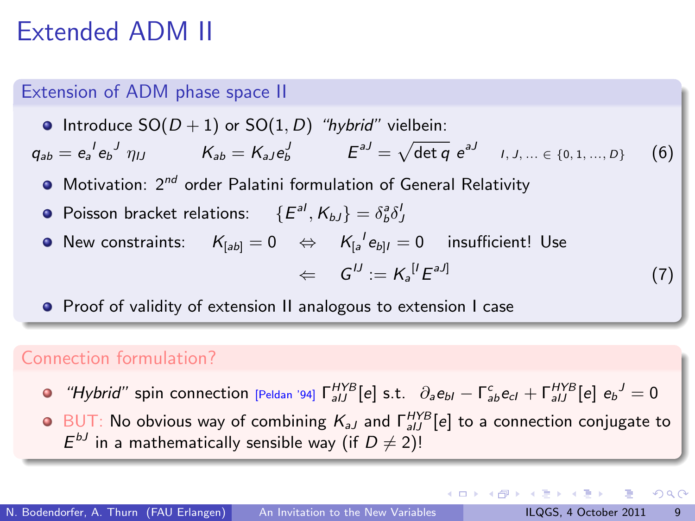### Extended ADM II

#### Extension of ADM phase space II

• Introduce  $SO(D + 1)$  or  $SO(1, D)$  "hybrid" vielbein:  $q_{ab} = e_a{}^l e_b{}^j \eta_{IJ}$   $K_{ab} = K_{aJ} e_b^J$   $E^{aJ} = \sqrt{\det q} e^{aJ}$   $I, J, ... \in \{0, 1, ..., D\}$  (6)  $\bullet$  Motivation:  $2^{nd}$  order Palatini formulation of General Relativity Poisson bracket relations:  $\{E^{al}, K_{bJ}\} = \delta^a_b \delta^J_J$ 

New constraints:  $\mathcal{K}_{[ab]} = 0 \quad \Leftrightarrow \quad \mathcal{K}_{[a}^{\phantom{[a}l} \mathcal{e}_{b]l} = 0 \quad \text{ insufficient! Use}$ 

$$
\Leftarrow G^{IJ} := K_a^{[I} E^{aJ]} \tag{7}
$$

**•** Proof of validity of extension II analogous to extension I case

#### Connection formulation?

"Hybrid" spin connection [Peldan '94]  $\Gamma_{aIJ}^{HYB}[e]$  s.t.  $\partial_a e_{bI} - \Gamma_{a b}^c e_{cI} + \Gamma_{aIJ}^{HYB}[e] e_b^J = 0$ 

 $BUT$ : No obvious way of combining  $K_{aJ}$  and  $\Gamma^{HYB}_{aIJ}[e]$  to a connection conjugate to  $E^{bJ}$  in a mathematically sensible way (if  $D\neq 2$ )!

<span id="page-8-0"></span> $QQQ$ 

イロト イ押ト イヨト イヨトー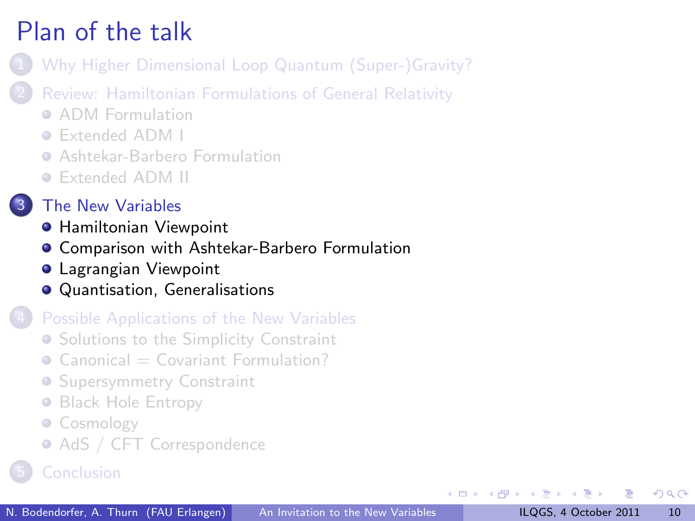- [Why Higher Dimensional Loop Quantum \(Super-\)Gravity?](#page-2-0)
- [Review: Hamiltonian Formulations of General Relativity](#page-4-0)
	- **[ADM Formulation](#page-5-0)**
	- [Extended ADM I](#page-6-0)
	- **[Ashtekar-Barbero Formulation](#page-7-0)**
	- [Extended ADM II](#page-8-0)
- **[The New Variables](#page-9-0)** 
	- **[Hamiltonian Viewpoint](#page-10-0)**
	- [Comparison with Ashtekar-Barbero Formulation](#page-11-0)
	- **[Lagrangian Viewpoint](#page-12-0)**
	- [Quantisation, Generalisations](#page-13-0)

#### [Possible Applications of the New Variables](#page-14-0)

- **[Solutions to the Simplicity Constraint](#page-15-0)**
- $\bullet$  Canonical  $=\text{Covariant Formula}$
- **[Supersymmetry Constraint](#page-17-0)**
- **[Black Hole Entropy](#page-19-0)**
- [Cosmology](#page-20-0)
- <span id="page-9-0"></span>• [AdS / CFT Correspondence](#page-21-0)
-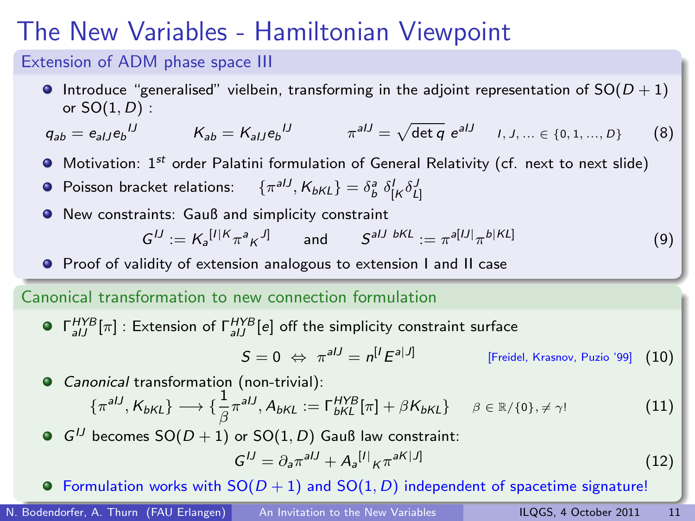### The New Variables - Hamiltonian Viewpoint

#### Extension of ADM phase space III

**Introduce "generalised" vielbein, transforming in the adjoint representation of SO(** $D + 1$ **)** or  $SO(1, D)$ :

$$
q_{ab} = e_{aIJ} e_b^{IJ} \t K_{ab} = K_{aIJ} e_b^{IJ} \t \pi^{aIJ} = \sqrt{\det q} e^{aIJ} \t I, J, ... \in \{0, 1, ..., D\}
$$
 (8)

- $\bullet$  Motivation: 1<sup>st</sup> order Palatini formulation of General Relativity (cf. next to next slide)
- Poisson bracket relations:  $\mathcal{F}^{\mathit{aIJ}}, \mathcal{K}_{\mathit{bKL}} = \delta^{\mathit{a}}_{\mathit{b}} \; \delta^{\mathit{I}}_{\mathit{L} \mathit{K}} \delta^{\mathit{J}}_{\mathit{L} \mathit{I}}$
- New constraints: Gauß and simplicity constraint

$$
G^{IJ} := K_a^{[I|K} \pi^a \kappa^{J]} \qquad \text{and} \qquad S^{aIJ \ bKL} := \pi^{a[IJ]} \pi^{b|KL]} \tag{9}
$$

**•** Proof of validity of extension analogous to extension I and II case

#### Canonical transformation to new connection formulation

 $\lceil \frac{HYB}{aIJ} \rceil$  : Extension of  $\lceil \frac{HYB}{aIJ} \rceil e \rceil$  off the simplicity constraint surface

<span id="page-10-0"></span>
$$
S = 0 \Leftrightarrow \pi^{alJ} = n^{[I} E^{a|J]} \qquad \qquad [\text{Freidel, Krasnov, Puzio '99]} \quad (10)
$$

Canonical transformation (non-trivial):  $\{\pi^{aIJ}, K_{bKL}\} \longrightarrow \{\frac{1}{\beta} \pi^{aIJ}, A_{bKL} := \Gamma_{bKL}^{HYB}[\pi] + \beta K_{bKL}\} \quad \beta \in \mathbb{R}/\{0\}, \neq \gamma!$  (11) GIJ becomes  $SO(D + 1)$  or  $SO(1, D)$  Gauß law constraint:  $G^{IJ} = \partial_a \pi^{aIJ} + A_a^{[I]} \kappa \pi^{aK[J]}$ (12)

**•**Formulation work[s](#page-10-0) with  $SO(D + 1)$  a[n](#page-14-0)d  $SO(1, D)$  indep[end](#page-9-0)[ent](#page-11-0) [of](#page-10-0) s[p](#page-11-0)[ac](#page-9-0)[eti](#page-10-0)[m](#page-11-0)[e](#page-8-0) [s](#page-9-0)[ig](#page-13-0)n[atu](#page-0-0)[re!](#page-24-0)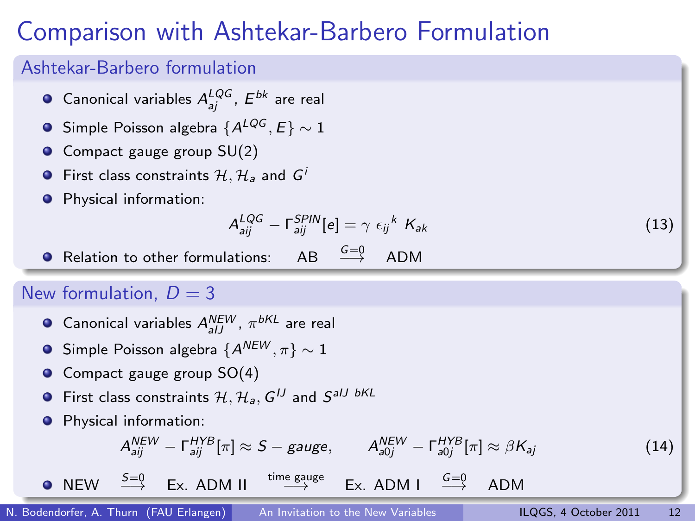### Comparison with Ashtekar-Barbero Formulation

#### Ashtekar-Barbero formulation

- Canonical variables  $A_{aj}^{LQG}$ ,  $E^{bk}$  are real
- G Simple Poisson algebra  ${A^{LQG}, E} \sim 1$
- **O** Compact gauge group SU(2)
- **•** First class constraints  $H, H_a$  and  $G^i$
- **O** Physical information:

<span id="page-11-0"></span>
$$
A_{aij}^{LQG} - \Gamma_{aij}^{SPIN}[e] = \gamma \epsilon_{ij}^k K_{ak} \tag{13}
$$

• Relation to other formulations:  $AB \xrightarrow{G=0} ADM$ 

#### New formulation,  $D = 3$

- Canonical variables  $A_{aIJ}^{NEW},\, \pi^{bKL}$  are real
- Simple Poisson algebra  ${A^{NEW}, \pi} \sim 1$
- Compact gauge group SO(4)
- First class constraints  $\mathcal{H}, \mathcal{H}_\mathsf{a}, \mathsf{G}^{IJ}$  and  $\mathsf{S}^\mathsf{aIJ}$  bKL
- **•** Physical information:

$$
A_{aij}^{NEW} - \Gamma_{aij}^{HYB}[\pi] \approx S - gauge, \qquad A_{a0j}^{NEW} - \Gamma_{a0j}^{HYB}[\pi] \approx \beta K_{aj}
$$
 (14)

 $\bullet$  NEW  $\xrightarrow{S=0}$  Ex. ADM II  $\xrightarrow{time \text{ gauge}}$  $Ex.$  [A](#page-10-0)[D](#page-11-0)[M](#page-12-0) I  $\stackrel{G=0}{\longrightarrow}$  ADM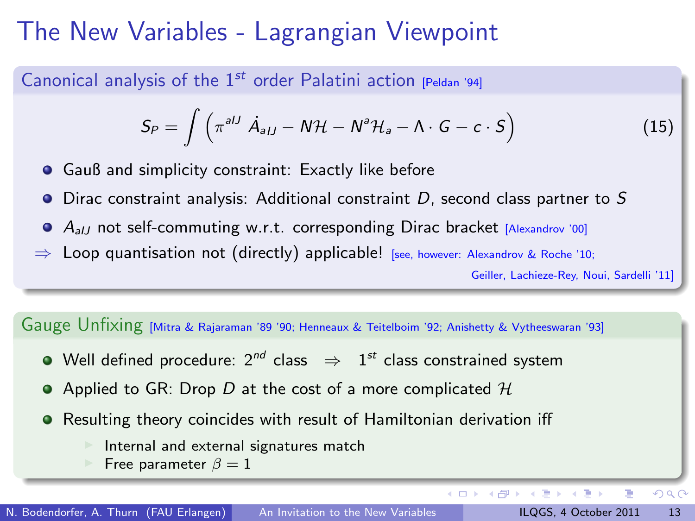### The New Variables - Lagrangian Viewpoint

Canonical analysis of the  $1^{st}$  order Palatini action [Peldan '94]

$$
S_P = \int \left( \pi^{aIJ} \ \dot{A}_{aIJ} - N\mathcal{H} - N^a \mathcal{H}_a - \Lambda \cdot G - c \cdot S \right) \tag{15}
$$

4 D F

**•** Gauß and simplicity constraint: Exactly like before

- $\bullet$  Dirac constraint analysis: Additional constraint D, second class partner to S
- $\bullet$   $A_{all}$  not self-commuting w.r.t. corresponding Dirac bracket [Alexandrov '00]
- $\Rightarrow$  Loop quantisation not (directly) applicable! [see, however: Alexandrov & Roche '10;

Geiller, Lachieze-Rey, Noui, Sardelli '11]

Gauge Unfixing [Mitra & Rajaraman '89 '90; Henneaux & Teitelboim '92; Anishetty & Vytheeswaran '93]

- Well defined procedure: 2 $^{nd}$  class  $\;\Rightarrow\;$   $\;1^{st}$  class constrained system
- Applied to GR: Drop D at the cost of a more complicated  $H$
- Resulting theory coincides with result of Hamiltonian derivation iff
	- Internal and external signatures match
	- Free parameter  $\beta = 1$

 $\leftarrow \equiv$ 

<span id="page-12-0"></span> $QQ$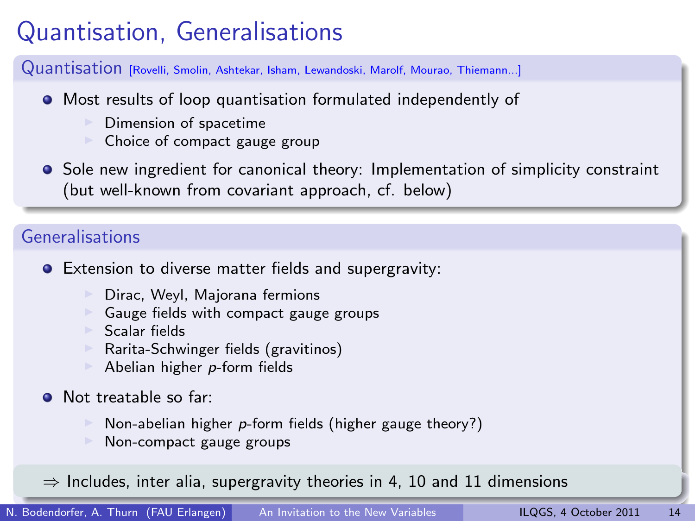# Quantisation, Generalisations

Quantisation [Rovelli, Smolin, Ashtekar, Isham, Lewandoski, Marolf, Mourao, Thiemann...]

- Most results of loop quantisation formulated independently of
	- Dimension of spacetime
	- Choice of compact gauge group
- **•** Sole new ingredient for canonical theory: Implementation of simplicity constraint (but well-known from covariant approach, cf. below)

#### Generalisations

- Extension to diverse matter fields and supergravity:
	- **I** Dirac, Weyl, Majorana fermions
	- **Gauge fields with compact gauge groups**
	- <sup>I</sup> Scalar fields
	- $\triangleright$  Rarita-Schwinger fields (gravitinos)
	- Abelian higher  $p$ -form fields
- Not treatable so far:
	- Non-abelian higher  $p$ -form fields (higher gauge theory?)
	- Non-compact gauge groups

<span id="page-13-0"></span> $\Rightarrow$  Includes, inter alia, supergravity theories in 4, 10 a[nd](#page-12-0) [11](#page-14-0) [d](#page-12-0)[im](#page-13-0)[e](#page-14-0)[ns](#page-14-0)[io](#page-13-0)ns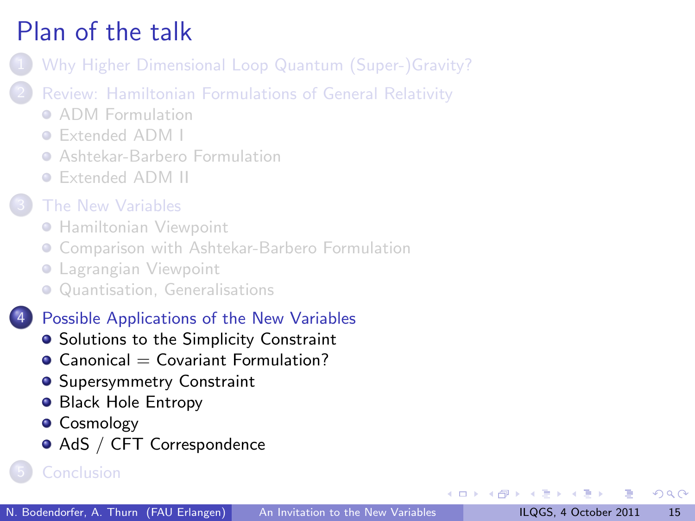- [Why Higher Dimensional Loop Quantum \(Super-\)Gravity?](#page-2-0)
- 2 [Review: Hamiltonian Formulations of General Relativity](#page-4-0)
	- **[ADM Formulation](#page-5-0)**
	- [Extended ADM I](#page-6-0)
	- **[Ashtekar-Barbero Formulation](#page-7-0)**
	- [Extended ADM II](#page-8-0)
- [The New Variables](#page-9-0)
	- **[Hamiltonian Viewpoint](#page-10-0)**
	- **[Comparison with Ashtekar-Barbero Formulation](#page-11-0)**
	- **[Lagrangian Viewpoint](#page-12-0)**
	- [Quantisation, Generalisations](#page-13-0)

#### [Possible Applications of the New Variables](#page-14-0)

- **•** [Solutions to the Simplicity Constraint](#page-15-0)
- $\bullet$  Canonical  $=$  Covariant Formulation?
- **[Supersymmetry Constraint](#page-17-0)**
- **[Black Hole Entropy](#page-19-0)**
- **•** [Cosmology](#page-20-0)
- <span id="page-14-0"></span>● [AdS / CFT Correspondence](#page-21-0)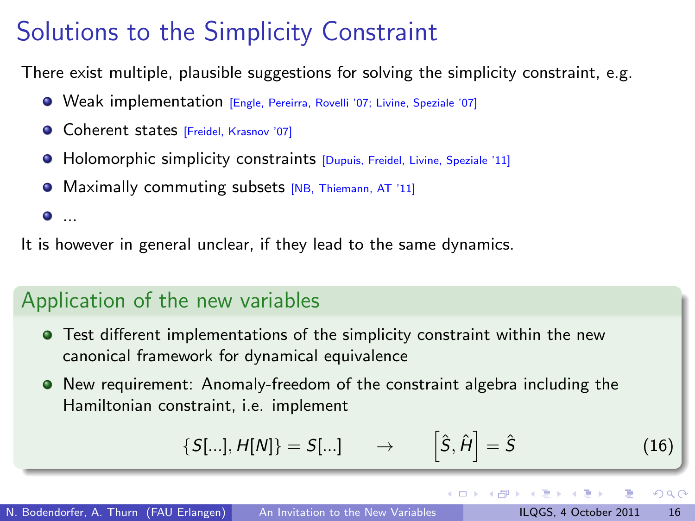# Solutions to the Simplicity Constraint

There exist multiple, plausible suggestions for solving the simplicity constraint, e.g.

- Weak implementation [Engle, Pereirra, Rovelli '07; Livine, Speziale '07]
- **Coherent states [Freidel, Krasnov '07]**
- **Holomorphic simplicity constraints [Dupuis, Freidel, Livine, Speziale '11]**
- Maximally commuting subsets [NB, Thiemann, AT '11]

 $\bullet$  ...

It is however in general unclear, if they lead to the same dynamics.

### Application of the new variables

- Test different implementations of the simplicity constraint within the new canonical framework for dynamical equivalence
- New requirement: Anomaly-freedom of the constraint algebra including the Hamiltonian constraint, i.e. implement

$$
\{S[\ldots], H[N]\} = S[\ldots] \qquad \to \qquad \left[\hat{S}, \hat{H}\right] = \hat{S} \tag{16}
$$

4 D F

<span id="page-15-0"></span> $200$ 

 $\overline{AB}$   $\rightarrow$   $\overline{AB}$   $\rightarrow$   $\overline{AB}$   $\rightarrow$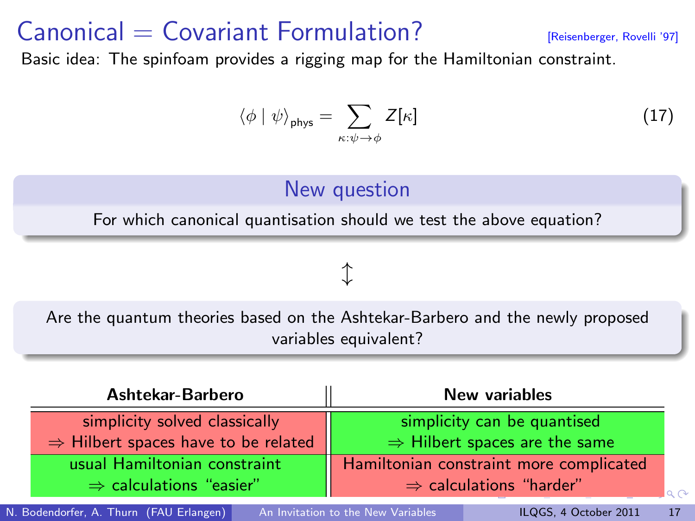### $\text{canonical} = \text{Covariant Formula}$   $\text{Covariant formula}$   $\text{Covariant form}$   $\text{Covariant form}$

Basic idea: The spinfoam provides a rigging map for the Hamiltonian constraint.

$$
\langle \phi | \psi \rangle_{\text{phys}} = \sum_{\kappa: \psi \to \phi} Z[\kappa] \tag{17}
$$

### New question

For which canonical quantisation should we test the above equation?

### $\uparrow$

Are the quantum theories based on the Ashtekar-Barbero and the newly proposed variables equivalent?

| Ashtekar-Barbero                                | New variables                             |
|-------------------------------------------------|-------------------------------------------|
| simplicity solved classically                   | simplicity can be quantised               |
| $\Rightarrow$ Hilbert spaces have to be related | $\Rightarrow$ Hilbert spaces are the same |
| usual Hamiltonian constraint                    | Hamiltonian constraint more complicated   |
| $\Rightarrow$ calculations "easier"             | $\Rightarrow$ calculations "harder"       |

N. Bodendorfer, A. Thurn (FAU Erlangen) [An Invitation to the New Variables](#page-0-0) ILQGS, 4 October 2011 17

<span id="page-16-0"></span>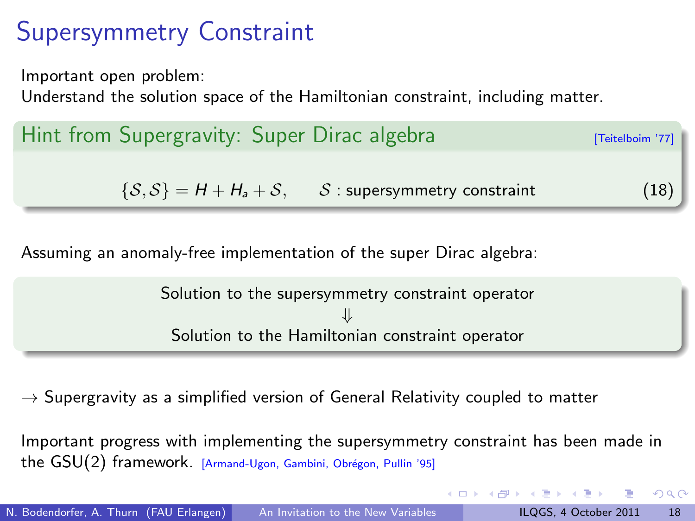# Supersymmetry Constraint

Important open problem:

Understand the solution space of the Hamiltonian constraint, including matter.

| (18) |
|------|
|      |

Assuming an anomaly-free implementation of the super Dirac algebra:

Solution to the supersymmetry constraint operator ⇓ Solution to the Hamiltonian constraint operator

 $\rightarrow$  Supergravity as a simplified version of General Relativity coupled to matter

Important progress with implementing the supersymmetry constraint has been made in the GSU(2) framework. [Armand-Ugon, Gambini, Obrégon, Pullin '95]

<span id="page-17-0"></span> $\Omega$ 

 $A \oplus A \rightarrow A \oplus A \rightarrow A \oplus A$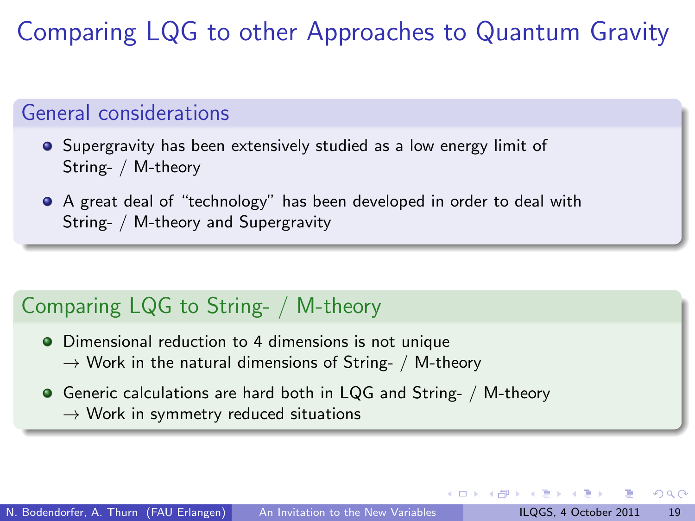Comparing LQG to other Approaches to Quantum Gravity

### General considerations

- **•** Supergravity has been extensively studied as a low energy limit of String- / M-theory
- A great deal of "technology" has been developed in order to deal with String- / M-theory and Supergravity

### Comparing LQG to String- / M-theory

- Dimensional reduction to 4 dimensions is not unique  $\rightarrow$  Work in the natural dimensions of String- / M-theory
- Generic calculations are hard both in LQG and String- / M-theory  $\rightarrow$  Work in symmetry reduced situations

 $200$ 

 $A \oplus B$   $\rightarrow$   $A \oplus B$   $\rightarrow$   $A \oplus B$   $\rightarrow$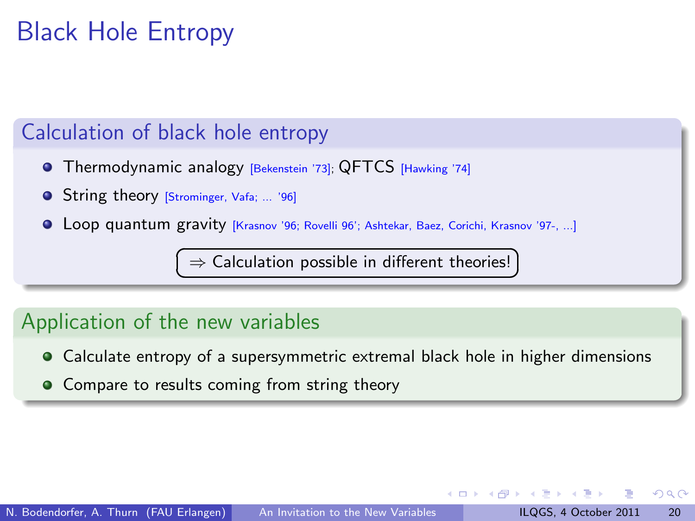## Black Hole Entropy

### Calculation of black hole entropy

- **•** Thermodynamic analogy [Bekenstein '73]; QFTCS [Hawking '74]
- **O** String theory [Strominger, Vafa; ... '96]
- Loop quantum gravity [Krasnov '96; Rovelli 96'; Ashtekar, Baez, Corichi, Krasnov '97-, ...]

 $\sqrt{\frac{1}{n}}$  Calculation possible in different theories! ✝

### Application of the new variables

- Calculate entropy of a supersymmetric extremal black hole in higher dimensions
- **•** Compare to results coming from string theory

<span id="page-19-0"></span> $\Omega$ 

☎  $^{\prime}$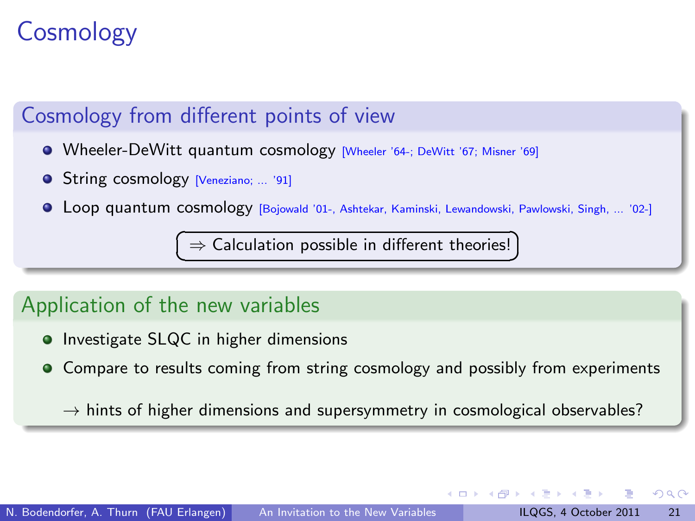# **Cosmology**

### Cosmology from different points of view

- Wheeler-DeWitt quantum cosmology [Wheeler '64-; DeWitt '67; Misner '69]
- **O** String cosmology [Veneziano; ... '91]
- Loop quantum cosmology [Bojowald '01-, Ashtekar, Kaminski, Lewandowski, Pawlowski, Singh, ... '02-]

 $\overline{C}$ ✝  $\Rightarrow$  Calculation possible in different theories!

### Application of the new variables

- **•** Investigate SLQC in higher dimensions
- **Compare to results coming from string cosmology and possibly from experiments**

 $\rightarrow$  hints of higher dimensions and supersymmetry in cosmological observables?

<span id="page-20-0"></span> $200$ 

☎  $^{\prime}$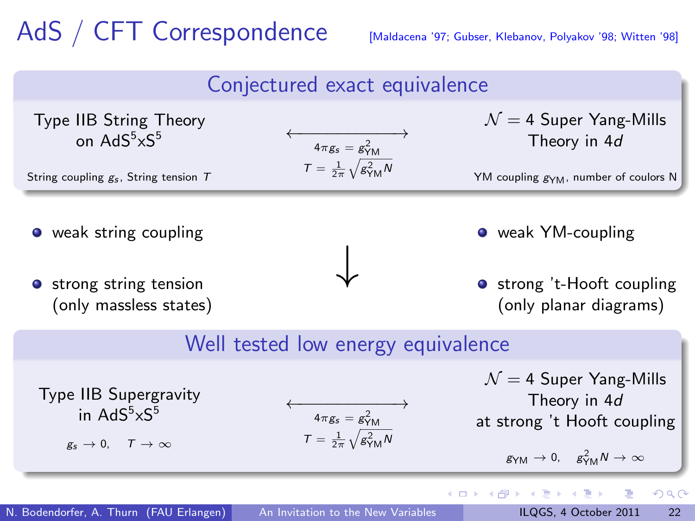# AdS / CFT Correspondence [Maldacena '97; Gubser, Klebanov, Polyakov '98; Witten '98]

<span id="page-21-0"></span>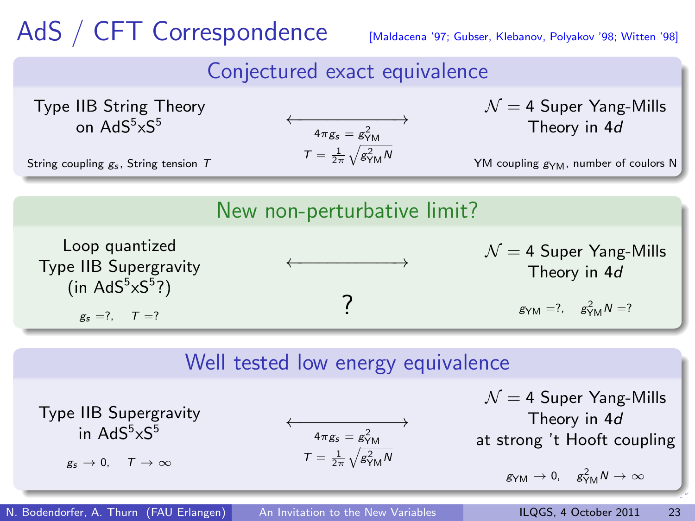# AdS / CFT Correspondence [Maldacena '97; Gubser, Klebanov, Polyakov '98; Witten '98]

### Conjectured exact equivalence

Type IIB String Theory on  $AdS^5 \times S^5$ String coupling  $g_s$ , String tension T  $\longleftrightarrow$ <br>4 $\pi g_s = g_{\text{YM}}^2$  $T = \frac{1}{2\pi} \sqrt{g_{\text{YM}}^2 N}$  $\mathcal{N} = 4$  Super Yang-Mills Theory in 4d YM coupling g<sub>YM</sub>, number of coulors N New non-perturbative limit? Loop quantized Type IIB Supergravity  $(in AdS<sup>5</sup>×S<sup>5</sup>)$  $g_s = ?$ ,  $T = ?$ ←−−−−−−−−−−→ ?  $\mathcal{N} = 4$  Super Yang-Mills Theory in 4d  $g_{YM} = ?$ ,  $g_{YM}^2 N = ?$ 

### Well tested low energy equivalence

 $\longleftrightarrow$ <br>  $4\pi g_s = g_{YM}^2$ <br>  $T = \frac{1}{2\pi} \sqrt{g_{YM}^2 N}$ 

 $\mathcal{N} = 4$  Super Yang-Mills Theory in 4d at strong 't Hooft coupling

<span id="page-22-0"></span>
$$
g_{YM}\to 0,\quad g_{YM}^2 N\to\infty
$$

N. Bodendorfer, A. Thurn (FAU Erlangen) [An Invitation to the New Variables](#page-0-0) ILQGS, 4 October 2011 23

Type IIB Supergravity in  $\mathsf{AdS}^5\!\!\times\!\!\mathsf{S}^5$  $g_s \to 0$ ,  $T \to \infty$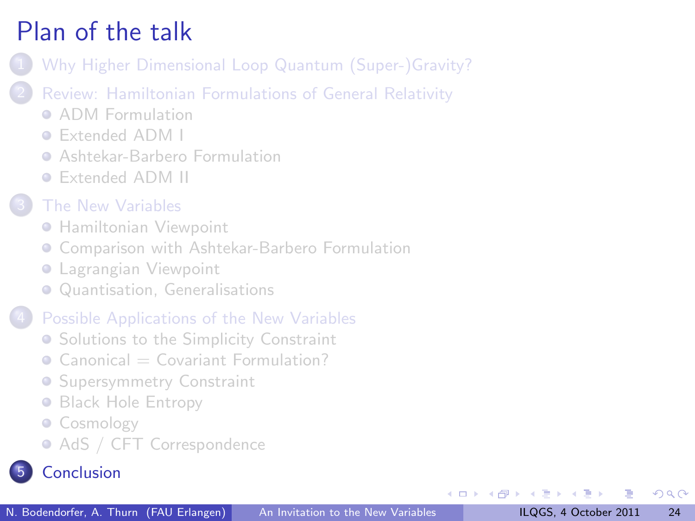- [Why Higher Dimensional Loop Quantum \(Super-\)Gravity?](#page-2-0)
- [Review: Hamiltonian Formulations of General Relativity](#page-4-0)
	- **[ADM Formulation](#page-5-0)**
	- [Extended ADM I](#page-6-0)
	- **[Ashtekar-Barbero Formulation](#page-7-0)**
	- [Extended ADM II](#page-8-0)
- [The New Variables](#page-9-0)
	- **[Hamiltonian Viewpoint](#page-10-0)**
	- **[Comparison with Ashtekar-Barbero Formulation](#page-11-0)**
	- **[Lagrangian Viewpoint](#page-12-0)**
	- [Quantisation, Generalisations](#page-13-0)

#### [Possible Applications of the New Variables](#page-14-0)

- **[Solutions to the Simplicity Constraint](#page-15-0)**
- $\bullet$  Canonical  $=\text{Covariant Formula}$
- **[Supersymmetry Constraint](#page-17-0)**
- **[Black Hole Entropy](#page-19-0)**
- [Cosmology](#page-20-0)
- <span id="page-23-0"></span>• [AdS / CFT Correspondence](#page-21-0)

### **[Conclusion](#page-23-0)**